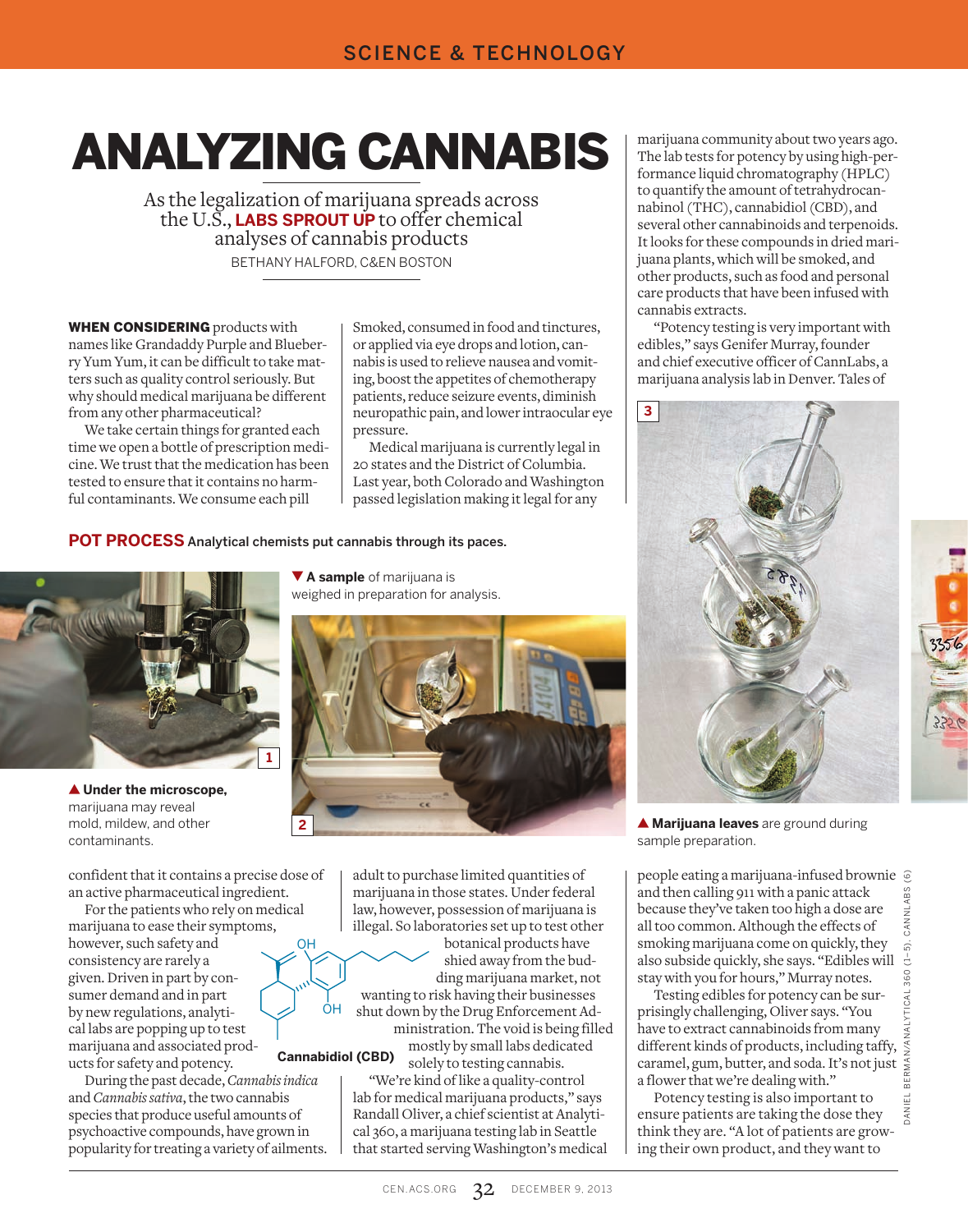## ANALYZING CANNABIS

As the legalization of marijuana spreads across the U.S., **LABS SPROUT UP** to offer chemical analyses of cannabis products BETHANY HALFORD, C&EN BOSTON

WHEN CONSIDERING products with names like Grandaddy Purple and Blueberry Yum Yum, it can be difficult to take matters such as quality control seriously. But why should medical marijuana be different from any other pharmaceutical?

We take certain things for granted each time we open a bottle of prescription medicine. We trust that the medication has been tested to ensure that it contains no harmful contaminants. We consume each pill

Smoked, consumed in food and tinctures, or applied via eye drops and lotion, cannabis is used to relieve nausea and vomiting, boost the appetites of chemotherapy patients, reduce seizure events, diminish neuropathic pain, and lower intraocular eye pressure.

Medical marijuana is currently legal in 20 states and the District of Columbia. Last year, both Colorado and Washington passed legislation making it legal for any

**POT PROCESS** Analytical chemists put cannabis through its paces.

ÓН

OH



▲ **Under the microscope,** marijuana may reveal mold, mildew, and other contaminants.

confident that it contains a precise dose of an active pharmaceutical ingredient.

For the patients who rely on medical marijuana to ease their symptoms, however, such safety and consistency are rarely a given. Driven in part by consumer demand and in part by new regulations, analytical labs are popping up to test marijuana and associated products for safety and potency. **Cannabidiol (CBD)**

During the past decade, *Cannabis indica* and *Cannabis sativa*, the two cannabis species that produce useful amounts of psychoactive compounds, have grown in popularity for treating a variety of ailments.

▼ **A sample** of marijuana is weighed in preparation for analysis.



adult to purchase limited quantities of marijuana in those states. Under federal law, however, possession of marijuana is illegal. So laboratories set up to test other

botanical products have shied away from the budding marijuana market, not wanting to risk having their businesses

shut down by the Drug Enforcement Administration. The void is being filled

mostly by small labs dedicated solely to testing cannabis.

"We're kind of like a quality-control lab for medical marijuana products," says Randall Oliver, a chief scientist at Analytical 360, a marijuana testing lab in Seattle that started serving Washington's medical

marijuana community about two years ago. The lab tests for potency by using high-performance liquid chromatography (HPLC) to quantify the amount of tetrahydrocannabinol (THC), cannabidiol (CBD), and several other cannabinoids and terpenoids. It looks for these compounds in dried marijuana plants, which will be smoked, and other products, such as food and personal care products that have been infused with cannabis extracts.

"Potency testing is very important with edibles," says Genifer Murray, founder and chief executive officer of CannLabs, a marijuana analysis lab in Denver. Tales of



▲ **Marijuana leaves** are ground during sample preparation.

people eating a marijuana-infused brownie and then calling 911 with a panic attack CANNLABS because they've taken too high a dose are all too common. Although the effects of smoking marijuana come on quickly, they also subside quickly, she says. "Edibles will stay with you for hours," Murray notes.

Testing edibles for potency can be surprisingly challenging, Oliver says. "You have to extract cannabinoids from many different kinds of products, including taffy, caramel, gum, butter, and soda. It's not just a flower that we're dealing with."

Potency testing is also important to ensure patients are taking the dose they think they are. "A lot of patients are growing their own product, and they want to